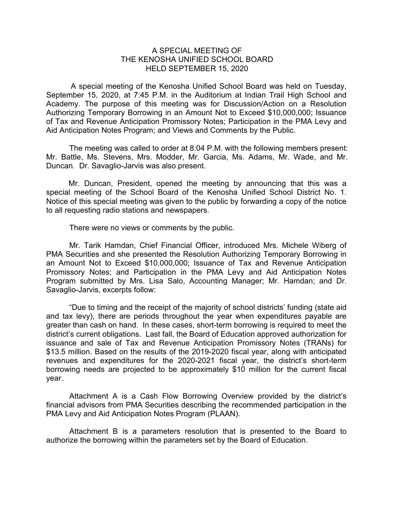## A SPECIAL MEETING OF THE KENOSHA UNIFIED SCHOOL BOARD HELD SEPTEMBER 15, 2020

A special meeting of the Kenosha Unified School Board was held on Tuesday, September 15, 2020, at 7:45 P.M. in the Auditorium at Indian Trail High School and Academy. The purpose of this meeting was for Discussion/Action on a Resolution Authorizing Temporary Borrowing in an Amount Not to Exceed \$10,000,000; Issuance of Tax and Revenue Anticipation Promissory Notes; Participation in the PMA Levy and Aid Anticipation Notes Program; and Views and Comments by the Public.

The meeting was called to order at 8:04 P.M. with the following members present: Mr. Battle, Ms. Stevens, Mrs. Modder, Mr. Garcia, Ms. Adams, Mr. Wade, and Mr. Duncan. Dr. Savaglio-Jarvis was also present.

Mr. Duncan, President, opened the meeting by announcing that this was a special meeting of the School Board of the Kenosha Unified School District No. 1. Notice of this special meeting was given to the public by forwarding a copy of the notice to all requesting radio stations and newspapers.

There were no views or comments by the public.

Mr. Tarik Hamdan, Chief Financial Officer, introduced Mrs. Michele Wiberg of PMA Securities and she presented the Resolution Authorizing Temporary Borrowing in an Amount Not to Exceed \$10,000,000; Issuance of Tax and Revenue Anticipation Promissory Notes; and Participation in the PMA Levy and Aid Anticipation Notes Program submitted by Mrs. Lisa Salo, Accounting Manager; Mr. Hamdan; and Dr. Savaglio-Jarvis, excerpts follow:

"Due to timing and the receipt of the majority of school districts' funding (state aid and tax levy), there are periods throughout the year when expenditures payable are greater than cash on hand. In these cases, short-term borrowing is required to meet the district's current obligations. Last fall, the Board of Education approved authorization for issuance and sale of Tax and Revenue Anticipation Promissory Notes (TRANs) for \$13.5 million. Based on the results of the 2019-2020 fiscal year, along with anticipated revenues and expenditures for the 2020-2021 fiscal year, the district's short-term borrowing needs are projected to be approximately \$10 million for the current fiscal year.

Attachment A is a Cash Flow Borrowing Overview provided by the district's financial advisors from PMA Securities describing the recommended participation in the PMA Levy and Aid Anticipation Notes Program (PLAAN).

Attachment B is a parameters resolution that is presented to the Board to authorize the borrowing within the parameters set by the Board of Education.